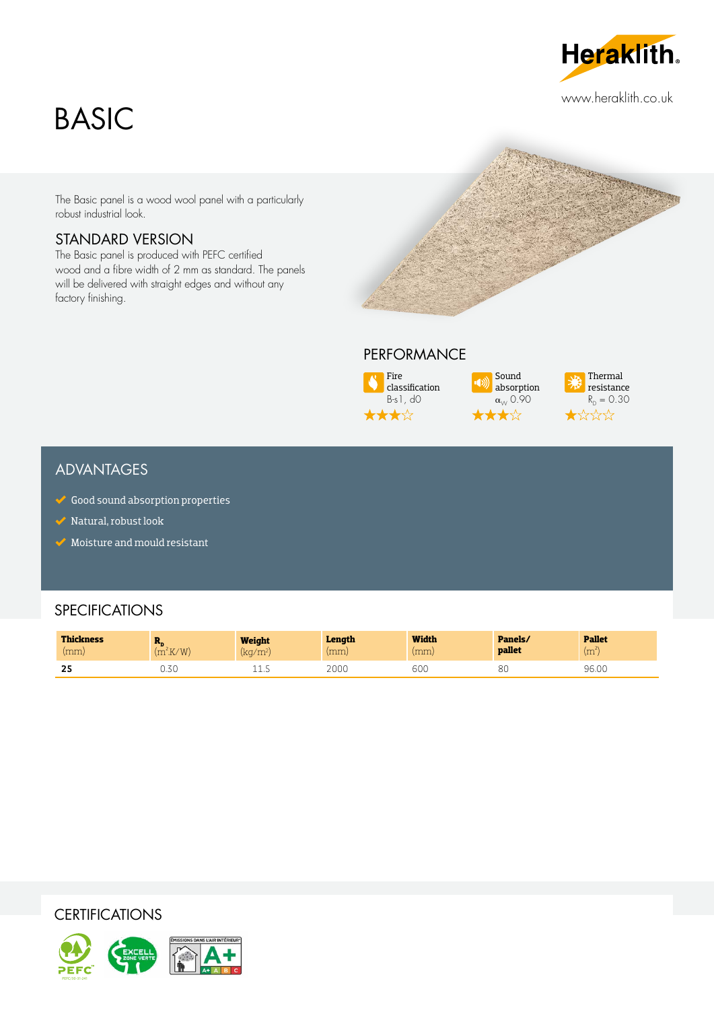# BASIC

**Heraklith.** 

www.heraklith.co.uk

The Basic panel is a wood wool panel with a particularly robust industrial look.

#### STANDARD VERSION

The Basic panel is produced with PEFC certified wood and a fibre width of 2 mm as standard. The panels will be delivered with straight edges and without any factory finishing.



### PERFORMANCE



Sound absorption  $\alpha_{\scriptscriptstyle{\cal W}}$  0.90 ★☆



#### ADVANTAGES

- $\checkmark$  Good sound absorption properties
- Natural, robust look
- $\blacktriangleright$  Moisture and mould resistant

#### **SPECIFICATIONS**

| <b>Thickness</b><br>(mm) | - - -<br>'V/MI<br>$\sim$ | Weight<br>$\frac{1}{2}$<br>wu<br>- 111 | Lenath<br>(mm | <b>Width</b><br>(mm) | Panels/<br>pallet | <b>Pallet</b><br>$(m^{2V})$ |
|--------------------------|--------------------------|----------------------------------------|---------------|----------------------|-------------------|-----------------------------|
| --<br>-45                | U.JU                     | ∸∸…                                    | 2000          | 600                  | 80                | 96.00                       |

#### **CERTIFICATIONS**